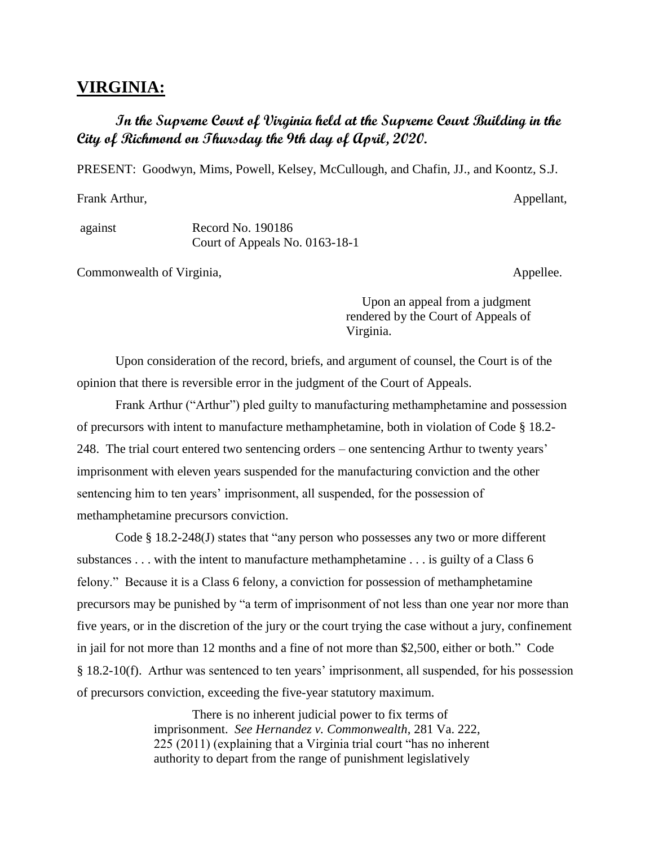## **VIRGINIA:**

## **In the Supreme Court of Virginia held at the Supreme Court Building in the City of Richmond on Thursday the 9th day of April, 2020.**

PRESENT: Goodwyn, Mims, Powell, Kelsey, McCullough, and Chafin, JJ., and Koontz, S.J.

Frank Arthur, Appellant, Appellant, Appellant, Appellant, Appellant, Appellant, Appellant, Appellant, Appellant, Appellant, Appellant, Appellant, Appellant, Appellant, Appellant, Appellant, Appellant, Appellant, Appellant,

against Record No. 190186 Court of Appeals No. 0163-18-1

Commonwealth of Virginia, the common version of  $\alpha$ , and  $\alpha$  appellee.

 Upon an appeal from a judgment rendered by the Court of Appeals of Virginia.

Upon consideration of the record, briefs, and argument of counsel, the Court is of the opinion that there is reversible error in the judgment of the Court of Appeals.

Frank Arthur ("Arthur") pled guilty to manufacturing methamphetamine and possession of precursors with intent to manufacture methamphetamine, both in violation of Code § 18.2- 248. The trial court entered two sentencing orders – one sentencing Arthur to twenty years' imprisonment with eleven years suspended for the manufacturing conviction and the other sentencing him to ten years' imprisonment, all suspended, for the possession of methamphetamine precursors conviction.

Code § 18.2-248(J) states that "any person who possesses any two or more different substances . . . with the intent to manufacture methamphetamine . . . is guilty of a Class 6 felony." Because it is a Class 6 felony, a conviction for possession of methamphetamine precursors may be punished by "a term of imprisonment of not less than one year nor more than five years, or in the discretion of the jury or the court trying the case without a jury, confinement in jail for not more than 12 months and a fine of not more than \$2,500, either or both." Code § 18.2-10(f). Arthur was sentenced to ten years' imprisonment, all suspended, for his possession of precursors conviction, exceeding the five-year statutory maximum.

> There is no inherent judicial power to fix terms of imprisonment. *See Hernandez v. Commonwealth*, 281 Va. 222, 225 (2011) (explaining that a Virginia trial court "has no inherent authority to depart from the range of punishment legislatively